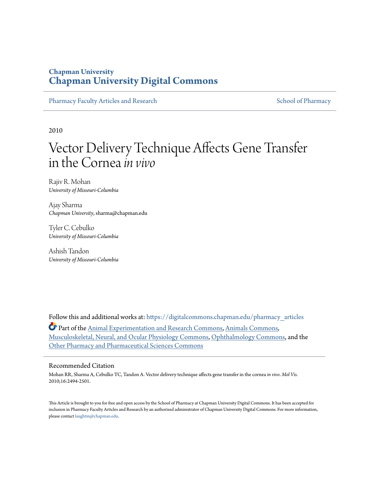# **Chapman University [Chapman University Digital Commons](https://digitalcommons.chapman.edu?utm_source=digitalcommons.chapman.edu%2Fpharmacy_articles%2F557&utm_medium=PDF&utm_campaign=PDFCoverPages)**

[Pharmacy Faculty Articles and Research](https://digitalcommons.chapman.edu/pharmacy_articles?utm_source=digitalcommons.chapman.edu%2Fpharmacy_articles%2F557&utm_medium=PDF&utm_campaign=PDFCoverPages) [School of Pharmacy](https://digitalcommons.chapman.edu/cusp?utm_source=digitalcommons.chapman.edu%2Fpharmacy_articles%2F557&utm_medium=PDF&utm_campaign=PDFCoverPages)

2010

# Vector Delivery Technique Affects Gene Transfer in the Cornea*in vivo*

Rajiv R. Mohan *University of Missouri-Columbia*

Ajay Sharma *Chapman University*, sharma@chapman.edu

Tyler C. Cebulko *University of Missouri-Columbia*

Ashish Tandon *University of Missouri-Columbia*

Follow this and additional works at: [https://digitalcommons.chapman.edu/pharmacy\\_articles](https://digitalcommons.chapman.edu/pharmacy_articles?utm_source=digitalcommons.chapman.edu%2Fpharmacy_articles%2F557&utm_medium=PDF&utm_campaign=PDFCoverPages)

Part of the [Animal Experimentation and Research Commons](http://network.bepress.com/hgg/discipline/1390?utm_source=digitalcommons.chapman.edu%2Fpharmacy_articles%2F557&utm_medium=PDF&utm_campaign=PDFCoverPages), [Animals Commons](http://network.bepress.com/hgg/discipline/1006?utm_source=digitalcommons.chapman.edu%2Fpharmacy_articles%2F557&utm_medium=PDF&utm_campaign=PDFCoverPages), [Musculoskeletal, Neural, and Ocular Physiology Commons](http://network.bepress.com/hgg/discipline/964?utm_source=digitalcommons.chapman.edu%2Fpharmacy_articles%2F557&utm_medium=PDF&utm_campaign=PDFCoverPages), [Ophthalmology Commons,](http://network.bepress.com/hgg/discipline/695?utm_source=digitalcommons.chapman.edu%2Fpharmacy_articles%2F557&utm_medium=PDF&utm_campaign=PDFCoverPages) and the [Other Pharmacy and Pharmaceutical Sciences Commons](http://network.bepress.com/hgg/discipline/737?utm_source=digitalcommons.chapman.edu%2Fpharmacy_articles%2F557&utm_medium=PDF&utm_campaign=PDFCoverPages)

## Recommended Citation

Mohan RR, Sharma A, Cebulko TC, Tandon A. Vector delivery technique affects gene transfer in the cornea *in vivo*. *Mol Vis*. 2010;16:2494-2501.

This Article is brought to you for free and open access by the School of Pharmacy at Chapman University Digital Commons. It has been accepted for inclusion in Pharmacy Faculty Articles and Research by an authorized administrator of Chapman University Digital Commons. For more information, please contact [laughtin@chapman.edu.](mailto:laughtin@chapman.edu)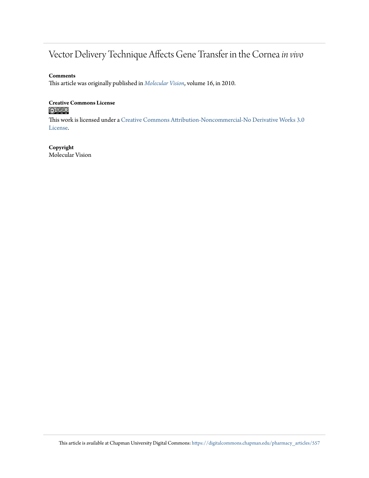# Vector Delivery Technique Affects Gene Transfer in the Cornea*in vivo*

## **Comments**

This article was originally published in *[Molecular Vision](http://www.molvis.org/molvis/v16/a267/)*, volume 16, in 2010.

# **Creative Commons License**

This work is licensed under a [Creative Commons Attribution-Noncommercial-No Derivative Works 3.0](https://creativecommons.org/licenses/by-nc-nd/3.0/) [License.](https://creativecommons.org/licenses/by-nc-nd/3.0/)

### **Copyright** Molecular Vision

This article is available at Chapman University Digital Commons: [https://digitalcommons.chapman.edu/pharmacy\\_articles/557](https://digitalcommons.chapman.edu/pharmacy_articles/557?utm_source=digitalcommons.chapman.edu%2Fpharmacy_articles%2F557&utm_medium=PDF&utm_campaign=PDFCoverPages)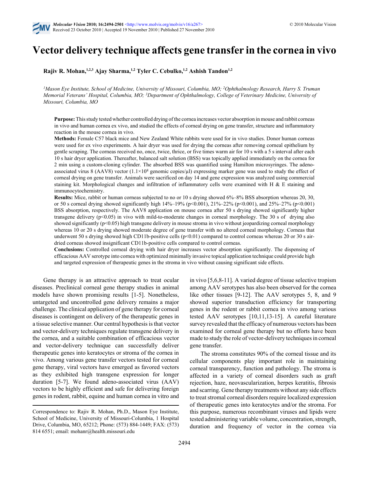

# **Vector delivery technique affects gene transfer in the cornea in vivo**

**Rajiv R. Mohan,1,2,3 Ajay Sharma,1,2 Tyler C. Cebulko,1,2 Ashish Tandon1,2**

*<sup>1</sup>Mason Eye Institute, School of Medicine, University of Missouri, Columbia, MO; <sup>2</sup>Ophthalmology Research, Harry S. Truman Memorial Veterans' Hospital, Columbia, MO; <sup>3</sup>Department of Ophthalmology, College of Veterinary Medicine, University of Missouri, Columbia, MO*

**Purpose:** This study tested whether controlled drying of the cornea increases vector absorption in mouse and rabbit corneas in vivo and human cornea ex vivo, and studied the effects of corneal drying on gene transfer, structure and inflammatory reaction in the mouse cornea in vivo.

**Methods:** Female C57 black mice and New Zealand White rabbits were used for in vivo studies. Donor human corneas were used for ex vivo experiments. A hair dryer was used for drying the corneas after removing corneal epithelium by gentle scraping. The corneas received no, once, twice, thrice, or five times warm air for 10 s with a 5 s interval after each 10 s hair dryer application. Thereafter, balanced salt solution (BSS) was topically applied immediately on the cornea for 2 min using a custom-cloning cylinder. The absorbed BSS was quantified using Hamilton microsyringes. The adenoassociated virus 8 (AAV8) vector  $(1.1 \times 10^8$  genomic copies/ $\mu$ l) expressing marker gene was used to study the effect of corneal drying on gene transfer. Animals were sacrificed on day 14 and gene expression was analyzed using commercial staining kit. Morphological changes and infiltration of inflammatory cells were examined with H  $\&$  E staining and immunocytochemistry.

**Results:** Mice, rabbit or human corneas subjected to no or 10 s drying showed 6%–8% BSS absorption whereas 20, 30, or 50 s corneal drying showed significantly high  $14\% - 19\%$  (p<0.001),  $21\% - 22\%$  (p<0.001), and  $25\% - 27\%$  (p<0.001) BSS absorption, respectively. The AAV8 application on mouse cornea after 50 s drying showed significantly higher transgene delivery (p<0.05) in vivo with mild-to-moderate changes in corneal morphology. The 30 s of drying also showed significantly (p<0.05) high transgene delivery in mouse stroma in vivo without jeopardizing corneal morphology whereas 10 or 20 s drying showed moderate degree of gene transfer with no altered corneal morphology. Corneas that underwent 50 s drying showed high CD11b-positive cells ( $p<0.01$ ) compared to control corneas whereas 20 or 30 s airdried corneas showed insignificant CD11b-positive cells compared to control corneas.

**Conclusions:** Controlled corneal drying with hair dryer increases vector absorption significantly. The dispensing of efficacious AAV serotype into cornea with optimized minimally invasive topical application technique could provide high and targeted expression of therapeutic genes in the stroma in vivo without causing significant side effects.

Gene therapy is an attractive approach to treat ocular diseases. Preclinical corneal gene therapy studies in animal models have shown promising results [1-5]. Nonetheless, untargeted and uncontrolled gene delivery remains a major challenge. The clinical application of gene therapy for corneal diseases is contingent on delivery of the therapeutic genes in a tissue selective manner. Our central hypothesis is that vector and vector-delivery techniques regulate transgene delivery in the cornea, and a suitable combination of efficacious vector and vector-delivery technique can successfully deliver therapeutic genes into keratocytes or stroma of the cornea in vivo. Among various gene transfer vectors tested for corneal gene therapy, viral vectors have emerged as favored vectors as they exhibited high transgene expression for longer duration [5-7]. We found adeno-associated virus (AAV) vectors to be highly efficient and safe for delivering foreign genes in rodent, rabbit, equine and human cornea in vitro and in vivo [5,6,8-11]. A varied degree of tissue selective tropism among AAV serotypes has also been observed for the cornea like other tissues [9-12]. The AAV serotypes 5, 8, and 9 showed superior transduction efficiency for transporting genes in the rodent or rabbit cornea in vivo among various tested AAV serotypes [10,11,13-15]. A careful literature survey revealed that the efficacy of numerous vectors has been examined for corneal gene therapy but no efforts have been made to study the role of vector-delivery techniques in corneal gene transfer.

The stroma constitutes 90% of the corneal tissue and its cellular components play important role in maintaining corneal transparency, function and pathology. The stroma is affected in a variety of corneal disorders such as graft rejection, haze, neovascularization, herpes keratitis, fibrosis and scarring. Gene therapy treatments without any side effects to treat stromal corneal disorders require localized expression of therapeutic genes into keratocytes and/or the stroma. For this purpose, numerous recombinant viruses and lipids were tested administering variable volume, concentration, strength, duration and frequency of vector in the cornea via

Correspondence to: Rajiv R. Mohan, Ph.D., Mason Eye Institute, School of Medicine, University of Missouri-Columbia, 1 Hospital Drive, Columbia, MO, 65212; Phone: (573) 884-1449; FAX: (573) 814 6551; email: mohanr@health.missouri.edu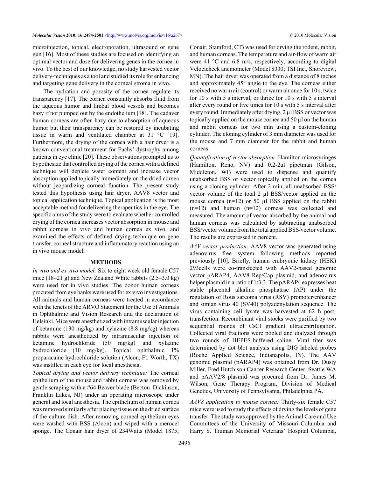microinjection, topical, electroporation, ultrasound or gene gun [16]. Most of these studies are focused on identifying an optimal vector and dose for delivering genes in the cornea in vivo. To the best of our knowledge, no study harvested vector delivery-techniques as a tool and studied its role for enhancing and targeting gene delivery in the corneal stroma in vivo.

The hydration and porosity of the cornea regulate its transparency [17]. The cornea constantly absorbs fluid from the aqueous humor and limbal blood vessels and becomes hazy if not pumped out by the endothelium [18]. The cadaver human corneas are often hazy due to absorption of aqueous humor but their transparency can be restored by incubating tissue in warm and ventilated chamber at 31 °C [19]. Furthermore, the drying of the cornea with a hair dryer is a known conventional treatment for Fuchs' dystrophy among patients in eye clinic [20]. These observations prompted us to hypothesize that controlled drying of the cornea with a defined technique will deplete water content and increase vector absorption applied topically immediately on the dried cornea without jeopardizing corneal function. The present study tested this hypothesis using hair dryer, AAV8 vector and topical application technique. Topical application is the most acceptable method for delivering therapeutics in the eye. The specific aims of the study were to evaluate whether controlled drying of the cornea increases vector absorption in mouse and rabbit corneas in vivo and human cornea ex vivo, and examined the effects of defined drying technique on gene transfer, corneal structure and inflammatory reaction using an in vivo mouse model.

#### **METHODS**

*In vivo and ex vivo model:* Six to eight week old female C57 mice (18–21 g) and New Zealand White rabbits (2.5–3.0 kg) were used for in vivo studies. The donor human corneas procured from eye banks were used for ex vivo investigations. All animals and human corneas were treated in accordance with the tenets of the ARVO Statement for the Use of Animals in Ophthalmic and Vision Research and the declaration of Helsinki. Mice were anesthetized with intramuscular injection of ketamine (130 mg/kg) and xylazine (8.8 mg/kg) whereas rabbits were anesthetized by intramuscular injection of ketamine hydrochloride (50 mg/kg) and xylazine hydrochloride (10 mg/kg). Topical ophthalmic 1% proparacaine hydrochloride solution (Alcon, Ft. Worth, TX) was instilled in each eye for local anesthesia.

*Topical drying and vector delivery technique:* The corneal epithelium of the mouse and rabbit corneas was removed by gentle scraping with a #64 Beaver blade (Becton–Dickinson, Franklin Lakes, NJ) under an operating microscope under general and local anesthesia. The epithelium of human cornea was removed similarly after placing tissue on the dried surface of the culture dish. After removing corneal epithelium eyes were washed with BSS (Alcon) and wiped with a merocel sponge. The Conair hair dryer of 234Watts (Model 1875; Conair, Stamford, CT) was used for drying the rodent, rabbit, and human corneas. The temperature and air-flow of warm air were 41 °C and 6.8 m/s, respectively, according to digital Velocicheck anemometer (Model 8330; TSI Inc., Shoreview, MN). The hair dryer was operated from a distance of 8 inches and approximately 45° angle to the eye. The corneas either received no warm air (control) or warm air once for 10 s, twice for 10 s with 5 s interval, or thrice for 10 s with 5 s interval after every round or five times for 10 s with 5 s interval after every round. Immediately after drying, 2 µl BSS or vector was topically applied on the mouse cornea and 50 µl on the human and rabbit corneas for two min using a custom-cloning cylinder. The cloning cylinder of 3 mm diameter was used for the mouse and 7 mm diameter for the rabbit and human corneas.

*Quantification of vector absorption:* Hamilton microsyringes (Hamilton, Reno, NV) and 0.2-2ul pipetman (Gilson, Middleton, WI) were used to dispense and quantify unabsorbed BSS or vector topically applied on the cornea using a cloning cylinder. After 2 min, all unabsorbed BSS/ vector volume of the total 2 µl BSS/vector applied on the mouse cornea  $(n=12)$  or 50 µl BSS applied on the rabbit (n=12) and human (n=12) corneas was collected and measured. The amount of vector absorbed by the animal and human corneas was calculated by subtracting unabsorbed BSS/vector volume from the total applied BSS/vector volume. The results are expressed in percent.

*AAV vector production:* AAV8 vector was generated using adenovirus free system following methods reported previously [10]. Briefly, human embryonic kidney (HEK) 293cells were co-transfected with AAV2-based genomic vector pARAP4, AAV8 Rep/Cap plasmid, and adenovirus helper plasmid in a ratio of 1:3:3. The pARAP4 expresses heat stable placental alkaline phosphatase (AP) under the regulation of Rous sarcoma virus (RSV) promoter/enhancer and simian virus 40 (SV40) polyadenylation sequence. The virus containing cell lysate was harvested at 62 h posttransfection. Recombinant viral stocks were purified by two sequential rounds of CsCl gradient ultracentrifugation. Collected viral fractions were pooled and dialyzed through two rounds of HEPES-buffered saline. Viral titer was determined by dot blot analysis using DIG labeled probes (Roche Applied Science, Indianapolis, IN). The AAV genomic plasmid (pARAP4) was obtained from Dr. Dusty Miller, Fred Hutchison Cancer Research Center, Seattle WA and pAAV2/8 plasmid was procured from Dr. James M. Wilson, Gene Therapy Program, Division of Medical Genetics, University of Pennsylvania, Philadelphia PA.

*AAV8 application to mouse cornea:* Thirty-six female C57 mice were used to study the effects of drying the levels of gene transfer. The study was approved by the Animal Care and Use Committees of the University of Missouri-Columbia and Harry S. Truman Memorial Veterans' Hospital Columbia,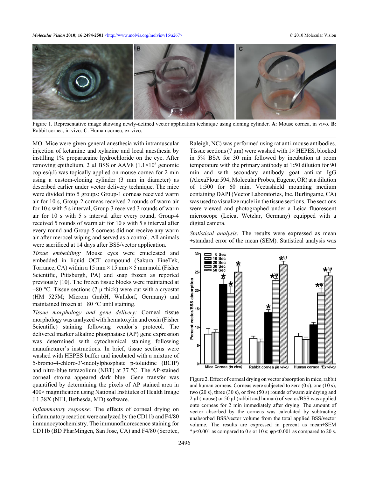

Figure 1. Representative image showing newly-defined vector application technique using cloning cylinder. **A**: Mouse cornea, in vivo. **B**: Rabbit cornea, in vivo. **C**: Human cornea, ex vivo.

MO. Mice were given general anesthesia with intramuscular injection of ketamine and xylazine and local anesthesia by instilling 1% proparacaine hydrochloride on the eye. After removing epithelium, 2  $\mu$ l BSS or AAV8 (1.1×10<sup>8</sup> genomic copies/µl) was topically applied on mouse cornea for 2 min using a custom-cloning cylinder (3 mm in diameter) as described earlier under vector delivery technique. The mice were divided into 5 groups: Group-1 corneas received warm air for 10 s, Group-2 corneas received 2 rounds of warm air for 10 s with 5 s interval, Group-3 received 3 rounds of warm air for 10 s with 5 s interval after every round, Group-4 received 5 rounds of warm air for 10 s with 5 s interval after every round and Group-5 corneas did not receive any warm air after merocel wiping and served as a control. All animals were sacrificed at 14 days after BSS/vector application.

*Tissue embedding:* Mouse eyes were enucleated and embedded in liquid OCT compound (Sakura FineTek, Torrance, CA) within a 15 mm  $\times$  15 mm  $\times$  5 mm mold (Fisher Scientific, Pittsburgh, PA) and snap frozen as reported previously [10]. The frozen tissue blocks were maintained at −80 °C. Tissue sections (7 μ thick) were cut with a cryostat (HM 525M; Microm GmbH, Walldorf, Germany) and maintained frozen at −80 °C until staining.

*Tissue morphology and gene delivery:* Corneal tissue morphology was analyzed with hematoxylin and eosin (Fisher Scientific) staining following vendor's protocol. The delivered marker alkaline phosphatase (AP) gene expression was determined with cytochemical staining following manufacturer's instructions. In brief, tissue sections were washed with HEPES buffer and incubated with a mixture of 5-bromo-4-chloro-3′-indolylphosphate p-toluidine (BCIP) and nitro-blue tetrazolium (NBT) at 37 °C. The AP-stained corneal stroma appeared dark blue. Gene transfer was quantified by determining the pixels of AP stained area in  $400\times$  magnification using National Institutes of Health Image J 1.38X (NIH, Bethesda, MD) software.

*Inflammatory response:* The effects of corneal drying on inflammatory reaction were analyzed by the CD11b and F4/80 immunocytochemistry. The immunofluorescence staining for CD11b (BD PharMingen, San Jose, CA) and F4/80 (Serotec, Raleigh, NC) was performed using rat anti-mouse antibodies. Tissue sections (7  $\mu$ m) were washed with 1× HEPES, blocked in 5% BSA for 30 min followed by incubation at room temperature with the primary antibody at 1:50 dilution for 90 min and with secondary antibody goat anti-rat IgG (AlexaFlour 594; Molecular Probes, Eugene, OR) at a dilution of 1:500 for 60 min. Vectashield mounting medium containing DAPI (Vector Laboratories, Inc. Burlingame, CA) was used to visualize nuclei in the tissue sections. The sections were viewed and photographed under a Leica fluorescent microscope (Leica, Wetzlar, Germany) equipped with a digital camera.

*Statistical analysis:* The results were expressed as mean ±standard error of the mean (SEM). Statistical analysis was



Figure 2. Effect of corneal drying on vector absorption in mice, rabbit and human corneas. Corneas were subjected to zero (0 s), one (10 s), two (20 s), three (30 s), or five (50 s) rounds of warm air drying and 2 µl (mouse) or 50 µl (rabbit and human) of vector/BSS was applied onto corneas for 2 min immediately after drying. The amount of vector absorbed by the corneas was calculated by subtracting unabsorbed BSS/vector volume from the total applied BSS/vector volume. The results are expressed in percent as mean±SEM \*p<0.001 as compared to 0 s or 10 s;  $\psi$ p<0.001 as compared to 20 s.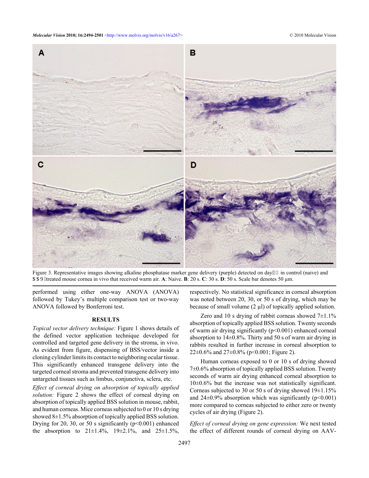

Figure 3. Representative images showing alkaline phosphatase marker gene delivery (purple) detected on day'36 in control (naive) and  $CCX$ /treated mouse cornea in vivo that received warm air. A: Naive. **B**: 20 s. C: 30 s. D: 50 s. Scale bar denotes 50 µm.

performed using either one-way ANOVA (ANOVA) followed by Tukey's multiple comparison test or two-way ANOVA followed by Bonferroni test.

### **RESULTS**

*Topical vector delivery technique:* Figure 1 shows details of the defined vector application technique developed for controlled and targeted gene delivery in the stroma, in vivo. As evident from figure, dispensing of BSS/vector inside a cloning cylinder limits its contact to neighboring ocular tissue. This significantly enhanced transgene delivery into the targeted corneal stroma and prevented transgene delivery into untargeted tissues such as limbus, conjunctiva, sclera, etc.

*Effect of corneal drying on absorption of topically applied solution:* Figure 2 shows the effect of corneal drying on absorption of topically applied BSS solution in mouse, rabbit, and human corneas. Mice corneas subjected to 0 or 10 s drying showed 8 $\pm$ 1.5% absorption of topically applied BSS solution. Drying for 20, 30, or 50 s significantly  $(p<0.001)$  enhanced the absorption to  $21 \pm 1.4\%$ ,  $19 \pm 2.1\%$ , and  $25 \pm 1.5\%$ ,

respectively. No statistical significance in corneal absorption was noted between 20, 30, or 50 s of drying, which may be because of small volume  $(2 \mu l)$  of topically applied solution.

Zero and 10 s drying of rabbit corneas showed  $7\pm1.1\%$ absorption of topically applied BSS solution. Twenty seconds of warm air drying significantly (p<0.001) enhanced corneal absorption to 14±0.8%. Thirty and 50 s of warm air drying in rabbits resulted in further increase in corneal absorption to 22 $\pm$ 0.6% and 27 $\pm$ 0.8% (p<0.001; Figure 2).

Human corneas exposed to 0 or 10 s of drying showed 7±0.6% absorption of topically applied BSS solution. Twenty seconds of warm air drying enhanced corneal absorption to 10±0.6% but the increase was not statistically significant. Corneas subjected to 30 or 50 s of drying showed  $19\pm1.15\%$ and  $24\pm0.9\%$  absorption which was significantly (p<0.001) more compared to corneas subjected to either zero or twenty cycles of air drying (Figure 2).

*Effect of corneal drying on gene expression:* We next tested the effect of different rounds of corneal drying on AAV-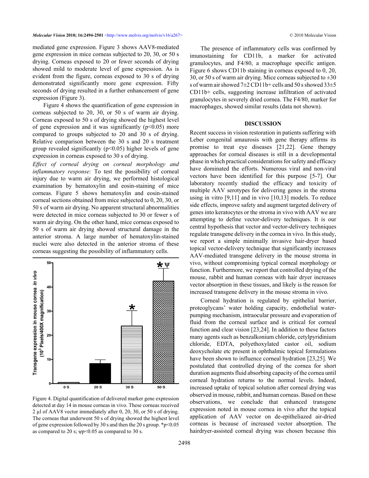mediated gene expression. Figure 3 shows AAV8-mediated gene expression in mice corneas subjected to 20, 30, or 50 s drying. Corneas exposed to 20 or fewer seconds of drying showed mild to moderate level of gene expression. As is evident from the figure, corneas exposed to 30 s of drying demonstrated significantly more gene expression. Fifty seconds of drying resulted in a further enhancement of gene expression (Figure 3).

Figure 4 shows the quantification of gene expression in corneas subjected to 20, 30, or 50 s of warm air drying. Corneas exposed to 50 s of drying showed the highest level of gene expression and it was significantly ( $p<0.05$ ) more compared to groups subjected to 20 and 30 s of drying. Relative comparison between the 30 s and 20 s treatment group revealed significantly  $(p<0.05)$  higher levels of gene expression in corneas exposed to 30 s of drying.

*Effect of corneal drying on corneal morphology and inflammatory response:* To test the possibility of corneal injury due to warm air drying, we performed histological examination by hematoxylin and eosin-staining of mice corneas. Figure 5 shows hematoxylin and eosin-stained corneal sections obtained from mice subjected to 0, 20, 30, or 50 s of warm air drying. No apparent structural abnormalities were detected in mice corneas subjected to 30 or fewer s of warm air drying. On the other hand, mice corneas exposed to 50 s of warm air drying showed structural damage in the anterior stroma. A large number of hematoxylin-stained nuclei were also detected in the anterior stroma of these corneas suggesting the possibility of inflammatory cells.



Figure 4. Digital quantification of delivered marker gene expression detected at day 14 in mouse corneas in vivo. These corneas received 2 µl of AAV8 vector immediately after 0, 20, 30, or 50 s of drying. The corneas that underwent 50 s of drying showed the highest level of gene expression followed by 30 s and then the 20 s group. \*p<0.05 as compared to 20 s;  $\psi$ p<0.05 as compared to 30 s.

The presence of inflammatory cells was confirmed by imunostaining for CD11b, a marker for activated granulocytes, and F4/80, a macrophage specific antigen. Figure 6 shows CD11b staining in corneas exposed to 0, 20, 30, or 50 s of warm air drying. Mice corneas subjected to  $\pm 30$ s of warm air showed 7±2 CD11b+ cells and 50 s showed 33±5 CD11b+ cells, suggesting increase infiltration of activated granulocytes in severely dried cornea. The F4/80, marker for macrophages, showed similar results (data not shown).

#### **DISCUSSION**

Recent success in vision restoration in patients suffering with Leber congenital amaurosis with gene therapy affirms its promise to treat eye diseases [21,22]. Gene therapy approaches for corneal diseases is still in a developmental phase in which practical considerations for safety and efficacy have dominated the efforts. Numerous viral and non-viral vectors have been identified for this purpose [5-7]. Our laboratory recently studied the efficacy and toxicity of multiple AAV serotypes for delivering genes in the stroma using in vitro [9,11] and in vivo [10,13] models. To reduce side effects, improve safety and augment targeted delivery of genes into keratocytes or the stroma in vivo with AAV we are attempting to define vector-delivery techniques. It is our central hypothesis that vector and vector-delivery techniques regulate transgene delivery in the cornea in vivo. In this study, we report a simple minimally invasive hair-dryer based topical vector-delivery technique that significantly increases AAV-mediated transgene delivery in the mouse stroma in vivo, without compromising typical corneal morphology or function. Furthermore, we report that controlled drying of the mouse, rabbit and human corneas with hair dryer increases vector absorption in these tissues, and likely is the reason for increased transgene delivery in the mouse stroma in vivo.

Corneal hydration is regulated by epithelial barrier, proteoglycans' water holding capacity, endothelial waterpumping mechanism, intraocular pressure and evaporation of fluid from the corneal surface and is critical for corneal function and clear vision [23,24]. In addition to these factors many agents such as benzalkonium chloride, cetylpyridinium chloride, EDTA, polyethoxylated castor oil, sodium deoxycholate etc present in ophthalmic topical formulations have been shown to influence corneal hydration [23,25]. We postulated that controlled drying of the cornea for short duration augments fluid absorbing capacity of the cornea until corneal hydration returns to the normal levels. Indeed, increased uptake of topical solution after corneal drying was observed in mouse, rabbit, and human corneas. Based on these observations, we conclude that enhanced transgene expression noted in mouse cornea in vivo after the topical application of AAV vector on de-epitheliazed air-dried corneas is because of increased vector absorption. The hairdryer-assisted corneal drying was chosen because this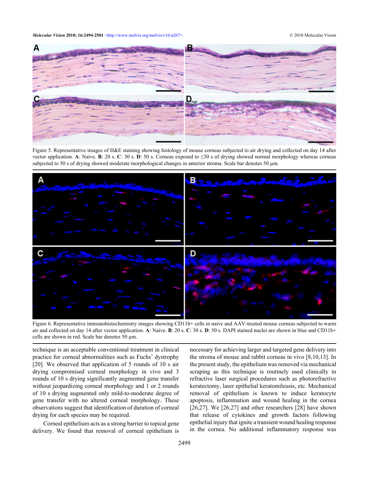

Figure 5. Representative images of H&E staining showing histology of mouse corneas subjected to air drying and collected on day 14 after vector application. **A**: Naive. **B**: 20 s. **C**: 30 s. **D**: 50 s. Corneas exposed to ≤30 s of drying showed normal morphology whereas corneas subjected to 50 s of drying showed moderate morphological changes in anterior stroma. Scale bar denotes 50 µm.



Figure 6. Representative immunohistochemistry images showing CD11b+ cells in naive and AAV-treated mouse corneas subjected to warm air and collected on day 14 after vector application. **A**: Naive. **B**: 20 s. **C**: 30 s. **D**: 50 s. DAPI stained nuclei are shown in blue and CD11b+ cells are shown in red. Scale bar denotes 50 µm.

technique is an acceptable conventional treatment in clinical practice for corneal abnormalities such as Fuchs' dystrophy [20]. We observed that application of 5 rounds of 10 s air drying compromised corneal morphology in vivo and 3 rounds of 10 s drying significantly augmented gene transfer without jeopardizing corneal morphology and 1 or 2 rounds of 10 s drying augmented only mild-to-moderate degree of gene transfer with no altered corneal morphology. These observations suggest that identification of duration of corneal drying for each species may be required.

Corneal epithelium acts as a strong barrier to topical gene delivery. We found that removal of corneal epithelium is necessary for achieving larger and targeted gene delivery into the stroma of mouse and rabbit corneas in vivo [8,10,13]. In the present study, the epithelium was removed via mechanical scraping as this technique is routinely used clinically in refractive laser surgical procedures such as photorefractive keratectomy, laser epithelial keratomileusis, etc. Mechanical removal of epithelium is known to induce keratocyte apoptosis, inflammation and wound healing in the cornea [26,27]. We [26,27] and other researchers [28] have shown that release of cytokines and growth factors following epithelial injury that ignite a transient wound healing response in the cornea. No additional inflammatory response was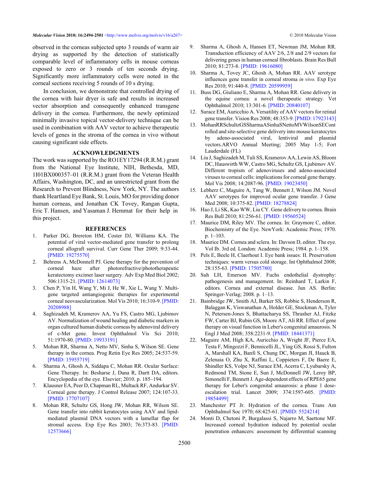observed in the corneas subjected upto 3 rounds of warm air drying as supported by the detection of statistically comparable level of inflammatory cells in mouse corneas exposed to zero or 3 rounds of ten seconds drying. Significantly more inflammatory cells were noted in the corneal sections receiving 5 rounds of 10 s drying.

In conclusion, we demonstrate that controlled drying of the cornea with hair dryer is safe and results in increased vector absorption and consequently enhanced transgene delivery in the cornea. Furthermore, the newly optimized minimally invasive topical vector-delivery technique can be used in combination with AAV vector to achieve therapeutic levels of genes in the stroma of the cornea in vivo without causing significant side effects.

### **ACKNOWLEDGMENTS**

The work was supported by the RO1EY17294 (R.R.M.) grant from the National Eye Institute, NIH, Bethesda, MD, 1I01BX000357–01 (R.R.M.) grant from the Veteran Health Affairs, Washington, DC, and an unrestricted grant from the Research to Prevent Blindness, New York, NY. The authors thank Heartland Eye Bank, St. Louis, MO for providing donor human corneas, and Jonathan CK Tovey, Rangan Gupta, Eric T. Hansen, and Yasaman J. Hemmat for their help in this project.

#### **REFERENCES**

- 1. Parker DG, Brereton HM, Coster DJ, Williams KA. The potential of viral vector-mediated gene transfer to prolong corneal allograft survival. Curr Gene Ther 2009; 9:33-44. [\[PMID: 19275570\]](http://www.ncbi.nlm.nih.gov/entrez/query.fcgi?cmd=Retrieve&db=PubMed&dopt=abstract&list_uids=19275570)
- 2. Behrens A, McDonnell PJ. Gene therapy for the prevention of corneal haze after photorefractive/phototherapeutic keratectomy excimer laser surgery. Adv Exp Med Biol 2002; 506:1315-21[. \[PMID: 12614073\]](http://www.ncbi.nlm.nih.gov/entrez/query.fcgi?cmd=Retrieve&db=PubMed&dopt=abstract&list_uids=12614073)
- 3. Chen P, Yin H, Wang Y, Mi J, He W, Xie L, Wang Y. Multigene targeted antiangiogenic therapies for experimental corneal neovascularization. Mol Vis 2010; 16:310-9[. \[PMID:](http://www.ncbi.nlm.nih.gov/entrez/query.fcgi?cmd=Retrieve&db=PubMed&dopt=abstract&list_uids=20208988) [20208988\]](http://www.ncbi.nlm.nih.gov/entrez/query.fcgi?cmd=Retrieve&db=PubMed&dopt=abstract&list_uids=20208988)
- 4. Saghizadeh M, Kramerov AA, Yu FS, Castro MG, Ljubimov AV. Normalization of wound healing and diabetic markers in organ cultured human diabetic corneas by adenoviral delivery of c-Met gene. Invest Ophthalmol Vis Sci 2010; 51:1970-80. [\[PMID: 19933191\]](http://www.ncbi.nlm.nih.gov/entrez/query.fcgi?cmd=Retrieve&db=PubMed&dopt=abstract&list_uids=19933191)
- 5. Mohan RR, Sharma A, Netto MV, Sinha S, Wilson SE. Gene therapy in the cornea. Prog Retin Eye Res 2005; 24:537-59. [\[PMID: 15955719\]](http://www.ncbi.nlm.nih.gov/entrez/query.fcgi?cmd=Retrieve&db=PubMed&dopt=abstract&list_uids=15955719)
- 6. Sharma A, Ghosh A, Siddapa C, Mohan RR. Ocular Surface: Gene Therapy. In: Besharse J, Dana R, Dartt DA, editors. Encyclopedia of the eye. Elsevier; 2010. p. 185–194.
- 7. Klausner EA, Peer D, Chapman RL, Multack RF, Andurkar SV. Corneal gene therapy. J Control Release 2007; 124:107-33. [\[PMID: 17707107\]](http://www.ncbi.nlm.nih.gov/entrez/query.fcgi?cmd=Retrieve&db=PubMed&dopt=abstract&list_uids=17707107)
- 8. Mohan RR, Schultz GS, Hong JW, Mohan RR, Wilson SE. Gene transfer into rabbit keratocytes using AAV and lipidmediated plasmid DNA vectors with a lamellar flap for stromal access. Exp Eye Res 2003; 76:373-83. [\[PMID:](http://www.ncbi.nlm.nih.gov/entrez/query.fcgi?cmd=Retrieve&db=PubMed&dopt=abstract&list_uids=12573666) [12573666\]](http://www.ncbi.nlm.nih.gov/entrez/query.fcgi?cmd=Retrieve&db=PubMed&dopt=abstract&list_uids=12573666)
- 9. Sharma A, Ghosh A, Hansen ET, Newman JM, Mohan RR. Transduction efficiency of AAV 2/6, 2/8 and 2/9 vectors for delivering genes in human corneal fibroblasts. Brain Res Bull 2010; 81:273-8. [\[PMID: 19616080\]](http://www.ncbi.nlm.nih.gov/entrez/query.fcgi?cmd=Retrieve&db=PubMed&dopt=abstract&list_uids=19616080)
- 10. Sharma A, Tovey JC, Ghosh A, Mohan RR. AAV serotype influences gene transfer in corneal stroma *in vivo.* Exp Eye Res 2010; 91:440-8[. \[PMID: 20599959\]](http://www.ncbi.nlm.nih.gov/entrez/query.fcgi?cmd=Retrieve&db=PubMed&dopt=abstract&list_uids=20599959)
- 11. Buss DG, Giuliano E, Sharma A, Mohan RR. Gene delivery in the equine cornea: a novel therapeutic strategy. Vet Ophthalmol 2010; 13:301-6. [\[PMID: 20840107\]](http://www.ncbi.nlm.nih.gov/entrez/query.fcgi?cmd=Retrieve&db=PubMed&dopt=abstract&list_uids=20840107)
- 12. Surace EM, Auricchio A. Versatility of AAV vectors for retinal gene transfer. Vision Res 2008; 48:353-9. [\[PMID: 17923143\]](http://www.ncbi.nlm.nih.gov/entrez/query.fcgi?cmd=Retrieve&db=PubMed&dopt=abstract&list_uids=17923143)
- 13. MohanRRSchultzGSSharmaASinhaSNettoMVWilsonSECont rolled and site-selective gene delivery into mouse keratocytes by adeno-associated viral, lentiviral and plasmid vectors.ARVO Annual Meeting; 2005 May 1-5; Fort Lauderdale (FL)
- 14. Liu J, Saghizadeh M, Tuli SS, Kramerov AA, Lewin AS, Bloom DC, Hauswirth WW, Castro MG, Schultz GS, Ljubimov AV. Different tropism of adenoviruses and adeno-associated viruses to corneal cells: implications for corneal gene therapy. Mol Vis 2008; 14:2087-96. [\[PMID: 19023450\]](http://www.ncbi.nlm.nih.gov/entrez/query.fcgi?cmd=Retrieve&db=PubMed&dopt=abstract&list_uids=19023450)
- 15. Lebherz C, Maguire A, Tang W, Bennett J, Wilson JM. Novel AAV serotypes for improved ocular gene transfer. J Gene Med 2008; 10:375-82. [\[PMID: 18278824\]](http://www.ncbi.nlm.nih.gov/entrez/query.fcgi?cmd=Retrieve&db=PubMed&dopt=abstract&list_uids=18278824)
- 16. Hao J, Li SK, Kao WW, Liu CY. Gene delivery to cornea. Brain Res Bull 2010; 81:256-61. [\[PMID: 19560524\]](http://www.ncbi.nlm.nih.gov/entrez/query.fcgi?cmd=Retrieve&db=PubMed&dopt=abstract&list_uids=19560524)
- 17. Maurice DM, Riley MV. The cornea. In: Graymore C, editor. Biochemistry of the Eye. NewYork: Academic Press; 1970. p. 1–103.
- 18. Maurice DM. Cornea and sclera. In: Davson D, editor. The eye. Vol Ib. 3rd ed. London: Academic Press; 1984. p. 1–158.
- 19. Pels E, Beele H, Claerhout I. Eye bank issues: II. Preservation techniques: warm versus cold storage. Int Ophthalmol 2008; 28:155-63[. \[PMID: 17505780\]](http://www.ncbi.nlm.nih.gov/entrez/query.fcgi?cmd=Retrieve&db=PubMed&dopt=abstract&list_uids=17505780)
- 20. Suh LH, Emerson MV. Fuchs endothelial dystrophy: pathogenesis and management. In: Reinhard T, Larkin F, editors. Cornea and external disease. Jun AS. Berlin: Springer-Verlag; 2008. p. 1–13.
- 21. Bainbridge JW, Smith AJ, Barker SS, Robbie S, Henderson R, Balaggan K, Viswanathan A, Holder GE, Stockman A, Tyler N, Petersen-Jones S, Bhattacharya SS, Thrasher AJ, Fitzke FW, Carter BJ, Rubin GS, Moore AT, Ali RR. Effect of gene therapy on visual function in Leber's congenital amaurosis. N Engl J Med 2008; 358:2231-9[. \[PMID: 18441371\]](http://www.ncbi.nlm.nih.gov/entrez/query.fcgi?cmd=Retrieve&db=PubMed&dopt=abstract&list_uids=18441371)
- 22. Maguire AM, High KA, Auricchio A, Wright JF, Pierce EA, Testa F, Mingozzi F, Bennicelli JL, Ying GS, Rossi S, Fulton A, Marshall KA, Banfi S, Chung DC, Morgan JI, Hauck B, Zelenaia O, Zhu X, Raffini L, Coppieters F, De Baere E, Shindler KS, Volpe NJ, Surace EM, Acerra C, Lyubarsky A, Redmond TM, Stone E, Sun J, McDonnell JW, Leroy BP, Simonelli F, Bennett J. Age-dependent effects of RPE65 gene therapy for Leber's congenital amaurosis: a phase 1 doseescalation trial. Lancet 2009; 374:1597-605[. \[PMID:](http://www.ncbi.nlm.nih.gov/entrez/query.fcgi?cmd=Retrieve&db=PubMed&dopt=abstract&list_uids=19854499) [19854499\]](http://www.ncbi.nlm.nih.gov/entrez/query.fcgi?cmd=Retrieve&db=PubMed&dopt=abstract&list_uids=19854499)
- 23. Manchester PT Jr. Hydration of the cornea. Trans Am Ophthalmol Soc 1970; 68:425-61[. \[PMID: 5524214\]](http://www.ncbi.nlm.nih.gov/entrez/query.fcgi?cmd=Retrieve&db=PubMed&dopt=abstract&list_uids=5524214)
- 24. Monti D, Chetoni P, Burgalassi S, Najarro M, Saettone MF. Increased corneal hydration induced by potential ocular penetration enhancers: assessment by differential scanning